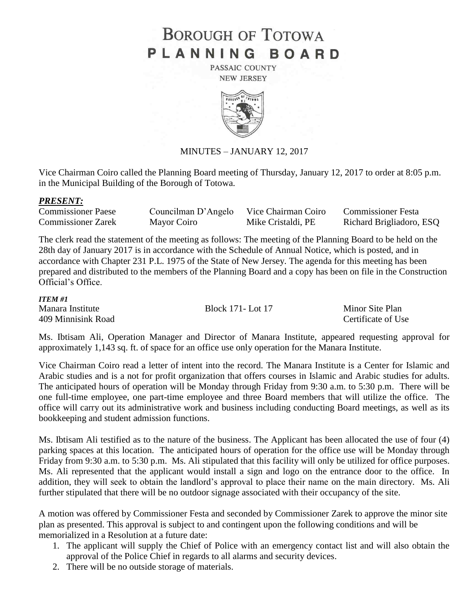# **BOROUGH OF TOTOWA** PLANNING BOARD

PASSAIC COUNTY **NEW JERSEY** 



#### MINUTES – JANUARY 12, 2017

Vice Chairman Coiro called the Planning Board meeting of Thursday, January 12, 2017 to order at 8:05 p.m. in the Municipal Building of the Borough of Totowa.

#### *PRESENT:*

| <b>Commissioner Paese</b> | Councilman D'Angelo | Vice Chairman Coiro | <b>Commissioner Festa</b> |
|---------------------------|---------------------|---------------------|---------------------------|
| <b>Commissioner Zarek</b> | Mayor Coiro         | Mike Cristaldi, PE  | Richard Brigliadoro, ESQ  |

The clerk read the statement of the meeting as follows: The meeting of the Planning Board to be held on the 28th day of January 2017 is in accordance with the Schedule of Annual Notice, which is posted, and in accordance with Chapter 231 P.L. 1975 of the State of New Jersey. The agenda for this meeting has been prepared and distributed to the members of the Planning Board and a copy has been on file in the Construction Official's Office.

#### *ITEM #1*

| Manara Institute   | Block 171- Lot 17 | Minor Site Plan    |
|--------------------|-------------------|--------------------|
| 409 Minnisink Road |                   | Certificate of Use |

Ms. Ibtisam Ali, Operation Manager and Director of Manara Institute, appeared requesting approval for approximately 1,143 sq. ft. of space for an office use only operation for the Manara Institute.

Vice Chairman Coiro read a letter of intent into the record. The Manara Institute is a Center for Islamic and Arabic studies and is a not for profit organization that offers courses in Islamic and Arabic studies for adults. The anticipated hours of operation will be Monday through Friday from 9:30 a.m. to 5:30 p.m. There will be one full-time employee, one part-time employee and three Board members that will utilize the office. The office will carry out its administrative work and business including conducting Board meetings, as well as its bookkeeping and student admission functions.

Ms. Ibtisam Ali testified as to the nature of the business. The Applicant has been allocated the use of four (4) parking spaces at this location. The anticipated hours of operation for the office use will be Monday through Friday from 9:30 a.m. to 5:30 p.m. Ms. Ali stipulated that this facility will only be utilized for office purposes. Ms. Ali represented that the applicant would install a sign and logo on the entrance door to the office. In addition, they will seek to obtain the landlord's approval to place their name on the main directory. Ms. Ali further stipulated that there will be no outdoor signage associated with their occupancy of the site.

A motion was offered by Commissioner Festa and seconded by Commissioner Zarek to approve the minor site plan as presented. This approval is subject to and contingent upon the following conditions and will be memorialized in a Resolution at a future date:

- 1. The applicant will supply the Chief of Police with an emergency contact list and will also obtain the approval of the Police Chief in regards to all alarms and security devices.
- 2. There will be no outside storage of materials.